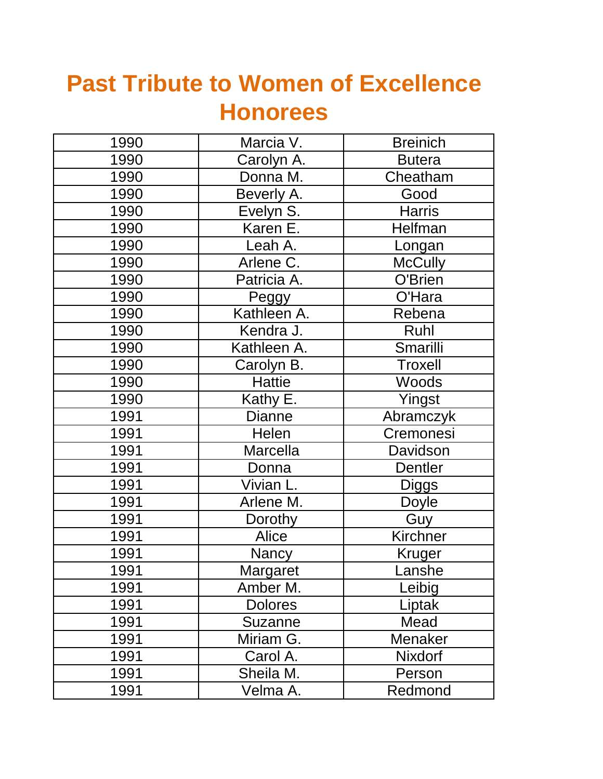## **Past Tribute to Women of Excellence Honorees**

| 1990 | Marcia V.       | <b>Breinich</b> |
|------|-----------------|-----------------|
| 1990 | Carolyn A.      | <b>Butera</b>   |
| 1990 | Donna M.        | Cheatham        |
| 1990 | Beverly A.      | Good            |
| 1990 | Evelyn S.       | <b>Harris</b>   |
| 1990 | Karen E.        | Helfman         |
| 1990 | Leah A.         | Longan          |
| 1990 | Arlene C.       | <b>McCully</b>  |
| 1990 | Patricia A.     | O'Brien         |
| 1990 | Peggy           | O'Hara          |
| 1990 | Kathleen A.     | Rebena          |
| 1990 | Kendra J.       | Ruhl            |
| 1990 | Kathleen A.     | Smarilli        |
| 1990 | Carolyn B.      | <b>Troxell</b>  |
| 1990 | <b>Hattie</b>   | Woods           |
| 1990 | Kathy E.        | Yingst          |
| 1991 | Dianne          | Abramczyk       |
| 1991 | <b>Helen</b>    | Cremonesi       |
| 1991 | Marcella        | Davidson        |
| 1991 | Donna           | <b>Dentler</b>  |
| 1991 | Vivian L.       | <b>Diggs</b>    |
| 1991 | Arlene M.       | Doyle           |
| 1991 | Dorothy         | Guy             |
| 1991 | Alice           | Kirchner        |
| 1991 | Nancy           | <b>Kruger</b>   |
| 1991 | <b>Margaret</b> | Lanshe          |
| 1991 | Amber M.        | Leibig          |
| 1991 | <b>Dolores</b>  | Liptak          |
| 1991 | <b>Suzanne</b>  | Mead            |
| 1991 | Miriam G.       | Menaker         |
| 1991 | Carol A.        | Nixdorf         |
| 1991 | Sheila M.       | Person          |
| 1991 | Velma A.        | Redmond         |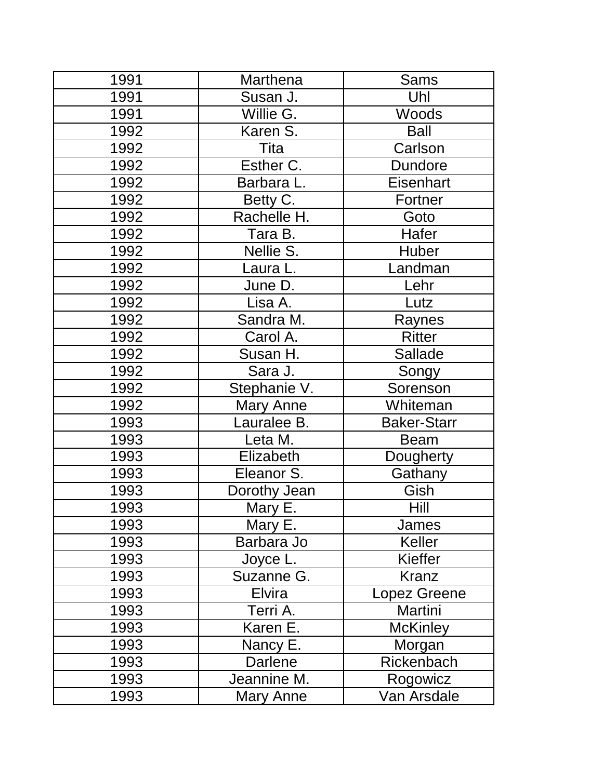| 1991 | Marthena     | Sams               |
|------|--------------|--------------------|
| 1991 | Susan J.     | Uhl                |
| 1991 | Willie G.    | <b>Woods</b>       |
| 1992 | Karen S.     | <b>Ball</b>        |
| 1992 | Tita         | Carlson            |
| 1992 | Esther C.    | <b>Dundore</b>     |
| 1992 | Barbara L.   | Eisenhart          |
| 1992 | Betty C.     | Fortner            |
| 1992 | Rachelle H.  | Goto               |
| 1992 | Tara B.      | Hafer              |
| 1992 | Nellie S.    | Huber              |
| 1992 | Laura L.     | Landman            |
| 1992 | June D.      | Lehr               |
| 1992 | Lisa A.      | Lutz               |
| 1992 | Sandra M.    | Raynes             |
| 1992 | Carol A.     | <b>Ritter</b>      |
| 1992 | Susan H.     | <b>Sallade</b>     |
| 1992 | Sara J.      | Songy              |
| 1992 | Stephanie V. | Sorenson           |
| 1992 | Mary Anne    | Whiteman           |
| 1993 | Lauralee B.  | <b>Baker-Starr</b> |
| 1993 | Leta M.      | <b>Beam</b>        |
| 1993 | Elizabeth    | Dougherty          |
| 1993 | Eleanor S.   | Gathany            |
| 1993 | Dorothy Jean | Gish               |
| 1993 | Mary E.      | Hill               |
| 1993 | Mary E.      | James              |
| 1993 | Barbara Jo   | Keller             |
| 1993 | Joyce L.     | Kieffer            |
| 1993 | Suzanne G.   | <b>Kranz</b>       |
| 1993 | Elvira       | Lopez Greene       |
| 1993 | Terri A.     | Martini            |
| 1993 | Karen E.     | <b>McKinley</b>    |
| 1993 | Nancy E.     | Morgan             |
| 1993 | Darlene      | Rickenbach         |
| 1993 | Jeannine M.  | Rogowicz           |
| 1993 | Mary Anne    | Van Arsdale        |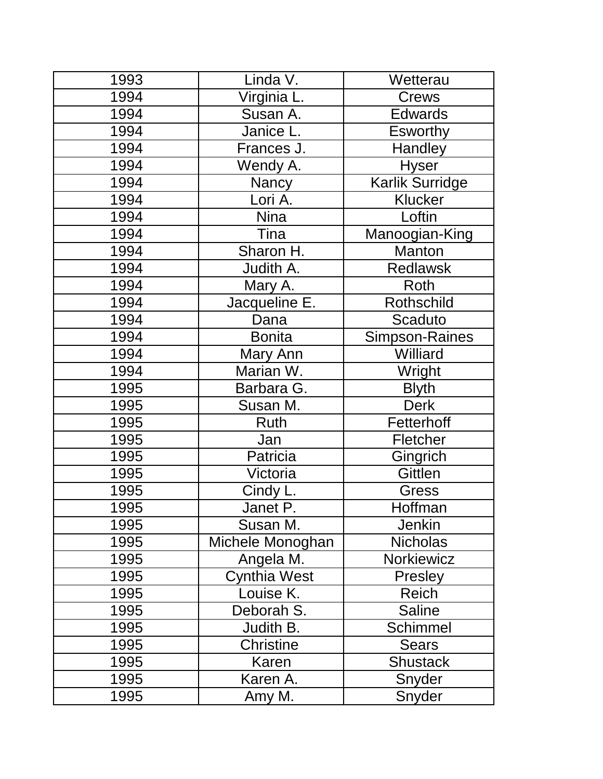| 1993 | Linda V.         | Wetterau              |
|------|------------------|-----------------------|
| 1994 | Virginia L.      | <b>Crews</b>          |
| 1994 | Susan A.         | <b>Edwards</b>        |
| 1994 | Janice L.        | <b>Esworthy</b>       |
| 1994 | Frances J.       | Handley               |
| 1994 | Wendy A.         | <b>Hyser</b>          |
| 1994 | <b>Nancy</b>     | Karlik Surridge       |
| 1994 | Lori A.          | Klucker               |
| 1994 | <b>Nina</b>      | Loftin                |
| 1994 | Tina             | Manoogian-King        |
| 1994 | Sharon H.        | Manton                |
| 1994 | Judith A.        | <b>Redlawsk</b>       |
| 1994 | Mary A.          | Roth                  |
| 1994 | Jacqueline E.    | Rothschild            |
| 1994 | Dana             | Scaduto               |
| 1994 | <b>Bonita</b>    | <b>Simpson-Raines</b> |
| 1994 | Mary Ann         | Williard              |
| 1994 | Marian W.        | Wright                |
| 1995 | Barbara G.       | <b>Blyth</b>          |
| 1995 | Susan M.         | <b>Derk</b>           |
| 1995 | Ruth             | Fetterhoff            |
| 1995 | Jan              | Fletcher              |
| 1995 | Patricia         | Gingrich              |
| 1995 | Victoria         | Gittlen               |
| 1995 | Cindy L.         | Gress                 |
| 1995 | Janet P.         | Hoffman               |
| 1995 | Susan M.         | <b>Jenkin</b>         |
| 1995 | Michele Monoghan | <b>Nicholas</b>       |
| 1995 | Angela M.        | Norkiewicz            |
| 1995 | Cynthia West     | Presley               |
| 1995 | Louise K.        | Reich                 |
| 1995 | Deborah S.       | <b>Saline</b>         |
| 1995 | Judith B.        | Schimmel              |
| 1995 | <b>Christine</b> | <b>Sears</b>          |
| 1995 | Karen            | <b>Shustack</b>       |
| 1995 | Karen A.         | Snyder                |
| 1995 | Amy M.           | Snyder                |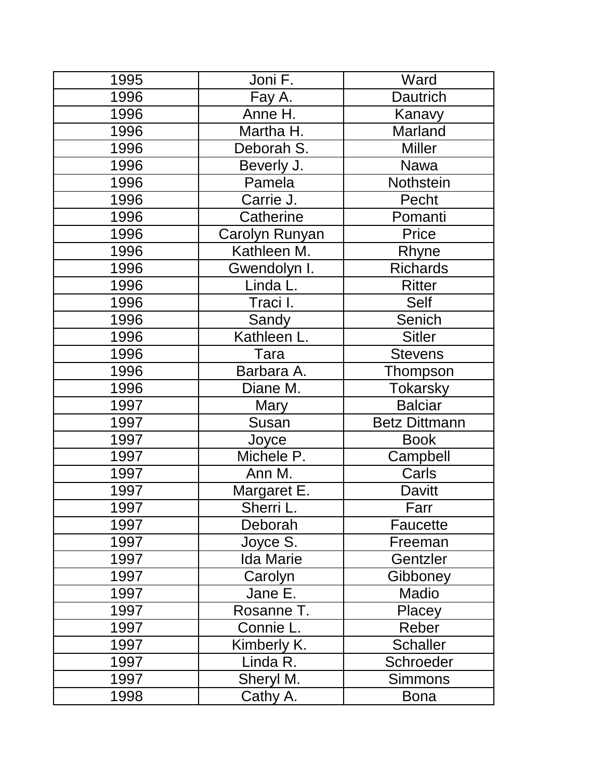| 1995 | Joni F.          | Ward                 |
|------|------------------|----------------------|
| 1996 | Fay A.           | <b>Dautrich</b>      |
| 1996 | Anne H.          | Kanavy               |
| 1996 | Martha H.        | Marland              |
| 1996 | Deborah S.       | <b>Miller</b>        |
| 1996 | Beverly J.       | <b>Nawa</b>          |
| 1996 | Pamela           | Nothstein            |
| 1996 | Carrie J.        | Pecht                |
| 1996 | Catherine        | Pomanti              |
| 1996 | Carolyn Runyan   | Price                |
| 1996 | Kathleen M.      | Rhyne                |
| 1996 | Gwendolyn I.     | <b>Richards</b>      |
| 1996 | Linda L.         | <b>Ritter</b>        |
| 1996 | Traci I.         | Self                 |
| 1996 | Sandy            | Senich               |
| 1996 | Kathleen L.      | <b>Sitler</b>        |
| 1996 | Tara             | <b>Stevens</b>       |
| 1996 | Barbara A.       | Thompson             |
| 1996 | Diane M.         | <b>Tokarsky</b>      |
| 1997 | Mary             | <b>Balciar</b>       |
| 1997 | Susan            | <b>Betz Dittmann</b> |
| 1997 | Joyce            | <b>Book</b>          |
| 1997 | Michele P.       | Campbell             |
| 1997 | Ann M.           | Carls                |
| 1997 | Margaret E.      | <b>Davitt</b>        |
| 1997 | Sherri I         | Farr                 |
| 1997 | Deborah          | Faucette             |
| 1997 | Joyce S.         | Freeman              |
| 1997 | <b>Ida Marie</b> | Gentzler             |
| 1997 | Carolyn          | Gibboney             |
| 1997 | Jane E.          | Madio                |
| 1997 | Rosanne T.       | Placey               |
| 1997 | Connie L.        | Reber                |
| 1997 | Kimberly K.      | <b>Schaller</b>      |
| 1997 | Linda R.         | Schroeder            |
| 1997 | Sheryl M.        | <b>Simmons</b>       |
| 1998 | Cathy A.         | <b>Bona</b>          |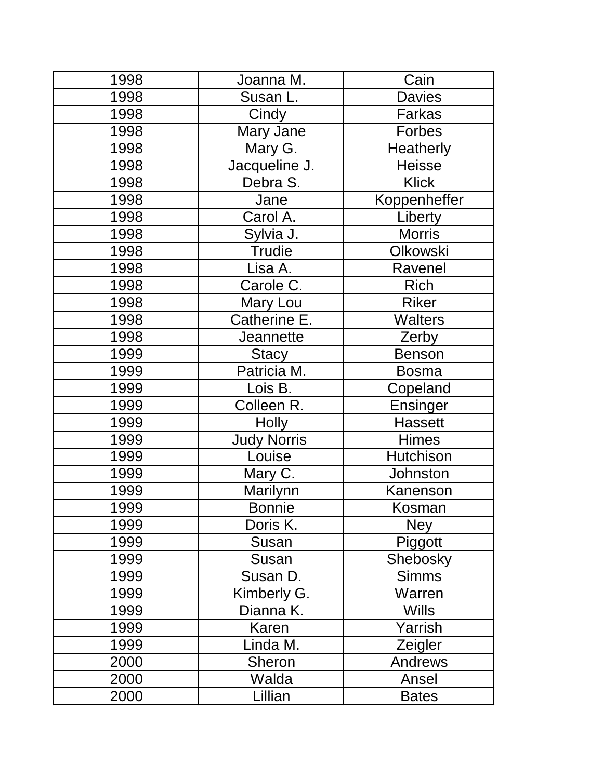| 1998 | Joanna M.          | Cain             |
|------|--------------------|------------------|
| 1998 | Susan L.           | <b>Davies</b>    |
| 1998 | Cindy              | Farkas           |
| 1998 | Mary Jane          | <b>Forbes</b>    |
| 1998 | Mary G.            | <b>Heatherly</b> |
| 1998 | Jacqueline J.      | <b>Heisse</b>    |
| 1998 | Debra S.           | <b>Klick</b>     |
| 1998 | Jane               | Koppenheffer     |
| 1998 | Carol A.           | Liberty          |
| 1998 | Sylvia J.          | <b>Morris</b>    |
| 1998 | <b>Trudie</b>      | Olkowski         |
| 1998 | Lisa A.            | Ravenel          |
| 1998 | Carole C.          | <b>Rich</b>      |
| 1998 | Mary Lou           | <b>Riker</b>     |
| 1998 | Catherine E.       | <b>Walters</b>   |
| 1998 | Jeannette          | Zerby            |
| 1999 | <b>Stacy</b>       | <b>Benson</b>    |
| 1999 | Patricia M.        | <b>Bosma</b>     |
| 1999 | Lois B.            | Copeland         |
| 1999 | Colleen R.         | Ensinger         |
| 1999 | <b>Holly</b>       | <b>Hassett</b>   |
| 1999 | <b>Judy Norris</b> | <b>Himes</b>     |
| 1999 | Louise             | Hutchison        |
| 1999 | Mary C.            | Johnston         |
| 1999 | Marilynn           | Kanenson         |
| 1999 | <b>Bonnie</b>      | Kosman           |
| 1999 | Doris K.           | <b>Ney</b>       |
| 1999 | Susan              | Piggott          |
| 1999 | Susan              | Shebosky         |
| 1999 | Susan D.           | <b>Simms</b>     |
| 1999 | Kimberly G.        | Warren           |
| 1999 | Dianna K.          | <b>Wills</b>     |
| 1999 | Karen              | Yarrish          |
| 1999 | Linda M.           | Zeigler          |
| 2000 | <b>Sheron</b>      | <b>Andrews</b>   |
| 2000 | Walda              | Ansel            |
| 2000 | Lillian            | <b>Bates</b>     |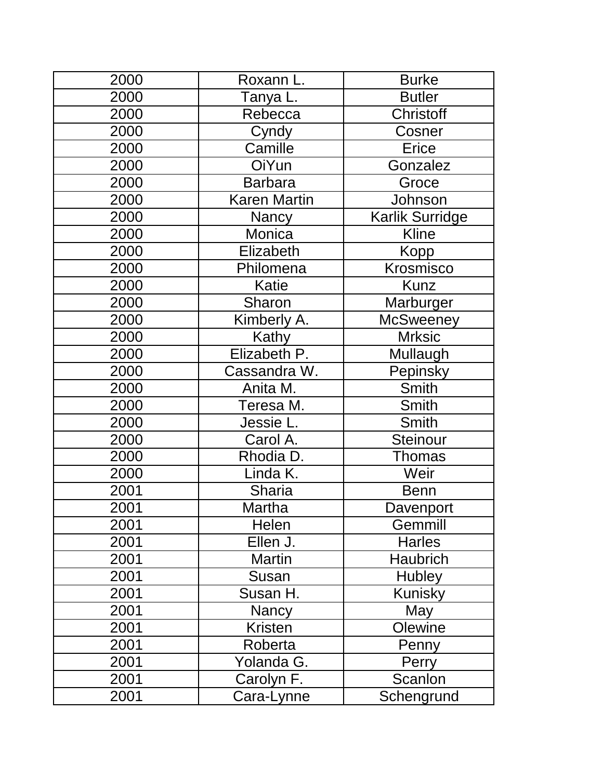| 2000 | Roxann L.           | <b>Burke</b>     |
|------|---------------------|------------------|
| 2000 | Tanya L.            | <b>Butler</b>    |
| 2000 | Rebecca             | Christoff        |
| 2000 | Cyndy               | Cosner           |
| 2000 | Camille             | Erice            |
| 2000 | OiYun               | Gonzalez         |
| 2000 | <b>Barbara</b>      | Groce            |
| 2000 | <b>Karen Martin</b> | Johnson          |
| 2000 | <b>Nancy</b>        | Karlik Surridge  |
| 2000 | Monica              | <b>Kline</b>     |
| 2000 | Elizabeth           | Kopp             |
| 2000 | Philomena           | Krosmisco        |
| 2000 | <b>Katie</b>        | <b>Kunz</b>      |
| 2000 | Sharon              | Marburger        |
| 2000 | Kimberly A.         | <b>McSweeney</b> |
| 2000 | Kathy               | <b>Mrksic</b>    |
| 2000 | Elizabeth P.        | Mullaugh         |
| 2000 | Cassandra W.        | Pepinsky         |
| 2000 | Anita M.            | Smith            |
| 2000 | Teresa M.           | Smith            |
| 2000 | Jessie L.           | Smith            |
| 2000 | Carol A.            | <b>Steinour</b>  |
| 2000 | Rhodia D.           | <b>Thomas</b>    |
| 2000 | Linda K.            | Weir             |
| 2001 | Sharia              | <b>Benn</b>      |
| 2001 | <b>Martha</b>       | Davenport        |
| 2001 | Helen               | Gemmill          |
| 2001 | Ellen J.            | <b>Harles</b>    |
| 2001 | <b>Martin</b>       | <b>Haubrich</b>  |
| 2001 | Susan               | <b>Hubley</b>    |
| 2001 | Susan H.            | <b>Kunisky</b>   |
| 2001 | <b>Nancy</b>        | May              |
| 2001 | <b>Kristen</b>      | Olewine          |
| 2001 | Roberta             | Penny            |
| 2001 | Yolanda G.          | Perry            |
| 2001 | Carolyn F.          | Scanlon          |
| 2001 | Cara-Lynne          | Schengrund       |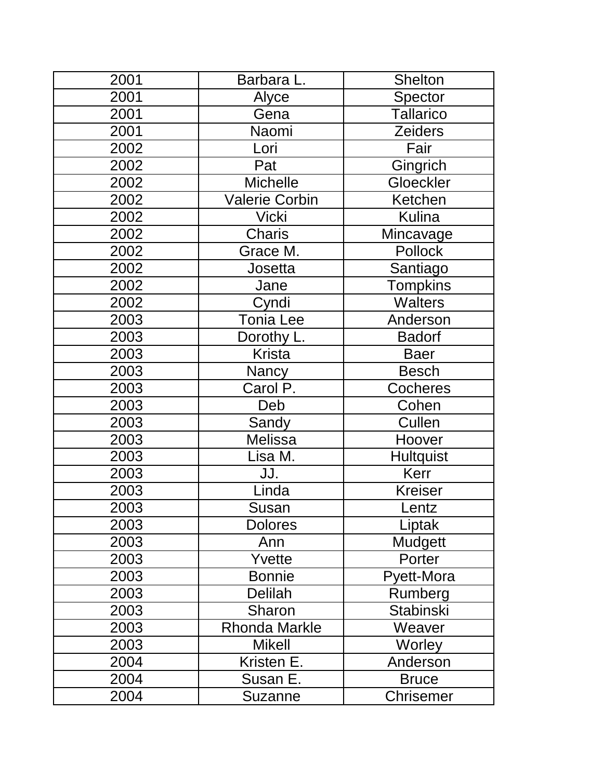| 2001 | Barbara L.            | <b>Shelton</b>   |
|------|-----------------------|------------------|
| 2001 | Alyce                 | Spector          |
| 2001 | Gena                  | <b>Tallarico</b> |
| 2001 | Naomi                 | <b>Zeiders</b>   |
| 2002 | Lori                  | Fair             |
| 2002 | Pat                   | Gingrich         |
| 2002 | <b>Michelle</b>       | Gloeckler        |
| 2002 | <b>Valerie Corbin</b> | Ketchen          |
| 2002 | <b>Vicki</b>          | <b>Kulina</b>    |
| 2002 | Charis                | Mincavage        |
| 2002 | Grace M.              | Pollock          |
| 2002 | Josetta               | Santiago         |
| 2002 | Jane                  | <b>Tompkins</b>  |
| 2002 | Cyndi                 | <b>Walters</b>   |
| 2003 | <b>Tonia Lee</b>      | Anderson         |
| 2003 | Dorothy L.            | <b>Badorf</b>    |
| 2003 | <b>Krista</b>         | <b>Baer</b>      |
| 2003 | <b>Nancy</b>          | <b>Besch</b>     |
| 2003 | Carol P.              | <b>Cocheres</b>  |
| 2003 | Deb                   | Cohen            |
| 2003 | Sandy                 | Cullen           |
| 2003 | <b>Melissa</b>        | Hoover           |
| 2003 | Lisa M.               | <b>Hultquist</b> |
| 2003 | JJ.                   | Kerr             |
| 2003 | Linda                 | <b>Kreiser</b>   |
| 2003 | Susan                 | .entz            |
| 2003 | <b>Dolores</b>        | Liptak           |
| 2003 | Ann                   | Mudgett          |
| 2003 | Yvette                | Porter           |
| 2003 | <b>Bonnie</b>         | Pyett-Mora       |
| 2003 | Delilah               | Rumberg          |
| 2003 | Sharon                | <b>Stabinski</b> |
| 2003 | <b>Rhonda Markle</b>  | Weaver           |
| 2003 | <b>Mikell</b>         | Worley           |
| 2004 | Kristen E.            | Anderson         |
| 2004 | Susan E.              | <b>Bruce</b>     |
| 2004 | Suzanne               | <b>Chrisemer</b> |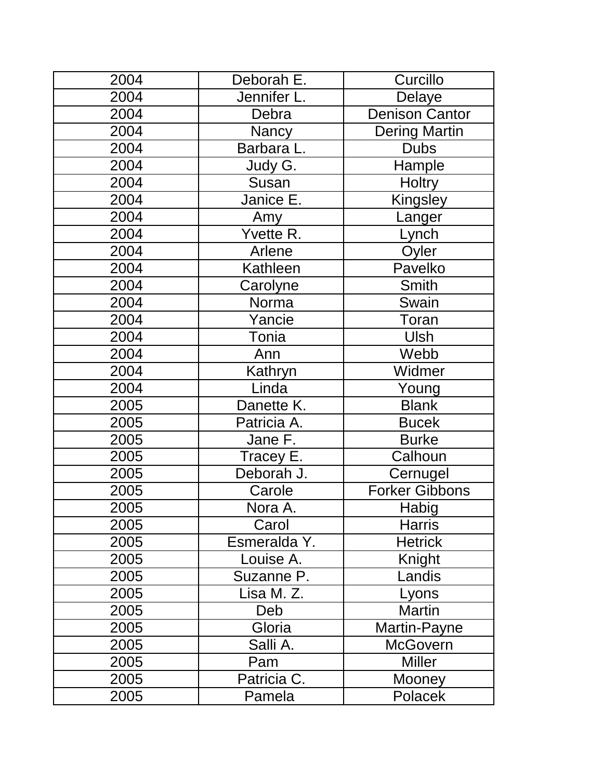| 2004 | Deborah E.   | Curcillo              |
|------|--------------|-----------------------|
| 2004 | Jennifer L.  | Delaye                |
| 2004 | Debra        | <b>Denison Cantor</b> |
| 2004 | Nancy        | Dering Martin         |
| 2004 | Barbara L.   | <b>Dubs</b>           |
| 2004 | Judy G.      | Hample                |
| 2004 | Susan        | <b>Holtry</b>         |
| 2004 | Janice E.    | Kingsley              |
| 2004 | Amy          | Langer                |
| 2004 | Yvette R.    | Lynch                 |
| 2004 | Arlene       | Oyler                 |
| 2004 | Kathleen     | Pavelko               |
| 2004 | Carolyne     | Smith                 |
| 2004 | Norma        | Swain                 |
| 2004 | Yancie       | Toran                 |
| 2004 | Tonia        | <b>Ulsh</b>           |
| 2004 | Ann          | Webb                  |
| 2004 | Kathryn      | Widmer                |
| 2004 | Linda        | Young                 |
| 2005 | Danette K.   | <b>Blank</b>          |
| 2005 | Patricia A.  | <b>Bucek</b>          |
| 2005 | Jane F.      | <b>Burke</b>          |
| 2005 | Tracey E.    | Calhoun               |
| 2005 | Deborah J.   | Cernugel              |
| 2005 | Carole       | <b>Forker Gibbons</b> |
| 2005 | Nora A.      | <b>Habig</b>          |
| 2005 | Carol        | <b>Harris</b>         |
| 2005 | Esmeralda Y. | <b>Hetrick</b>        |
| 2005 | Louise A.    | Knight                |
| 2005 | Suzanne P.   | Landis                |
| 2005 | Lisa M. Z.   | Lyons                 |
| 2005 | Deb          | <b>Martin</b>         |
| 2005 | Gloria       | Martin-Payne          |
| 2005 | Salli A.     | <b>McGovern</b>       |
| 2005 | Pam          | <b>Miller</b>         |
| 2005 | Patricia C.  | Mooney                |
| 2005 | Pamela       | Polacek               |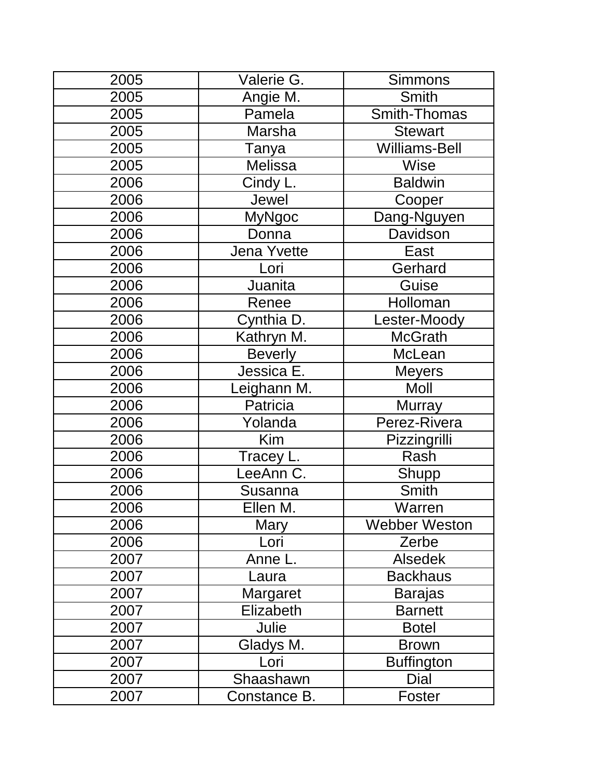| 2005 | Valerie G.     | <b>Simmons</b>       |
|------|----------------|----------------------|
| 2005 | Angie M.       | <b>Smith</b>         |
| 2005 | Pamela         | Smith-Thomas         |
| 2005 | Marsha         | <b>Stewart</b>       |
| 2005 | Tanya          | <b>Williams-Bell</b> |
| 2005 | <b>Melissa</b> | Wise                 |
| 2006 | Cindy L.       | <b>Baldwin</b>       |
| 2006 | Jewel          | Cooper               |
| 2006 | <b>MyNgoc</b>  | Dang-Nguyen          |
| 2006 | Donna          | Davidson             |
| 2006 | Jena Yvette    | East                 |
| 2006 | Lori           | Gerhard              |
| 2006 | Juanita        | Guise                |
| 2006 | Renee          | Holloman             |
| 2006 | Cynthia D.     | Lester-Moody         |
| 2006 | Kathryn M.     | <b>McGrath</b>       |
| 2006 | <b>Beverly</b> | McLean               |
| 2006 | Jessica E.     | <b>Meyers</b>        |
| 2006 | Leighann M.    | Moll                 |
| 2006 | Patricia       | <b>Murray</b>        |
| 2006 | Yolanda        | Perez-Rivera         |
| 2006 | Kim            | Pizzingrilli         |
| 2006 | Tracey L.      | Rash                 |
| 2006 | LeeAnn C.      | Shupp                |
| 2006 | Susanna        | <b>Smith</b>         |
| 2006 | Ellen M.       | Warren               |
| 2006 | Mary           | Webber Weston        |
| 2006 | Lori           | Zerbe                |
| 2007 | Anne L.        | <b>Alsedek</b>       |
| 2007 | Laura          | <b>Backhaus</b>      |
| 2007 | Margaret       | <b>Barajas</b>       |
| 2007 | Elizabeth      | <b>Barnett</b>       |
| 2007 | Julie          | <b>Botel</b>         |
| 2007 | Gladys M.      | <b>Brown</b>         |
| 2007 | Lori           | <b>Buffington</b>    |
| 2007 | Shaashawn      | Dial                 |
| 2007 | Constance B.   | Foster               |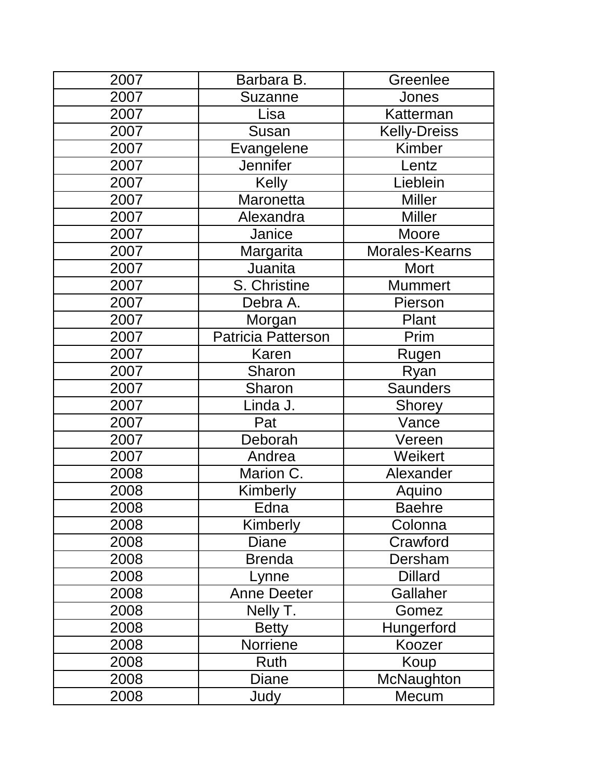| 2007 | Barbara B.         | Greenlee            |
|------|--------------------|---------------------|
| 2007 | <b>Suzanne</b>     | Jones               |
| 2007 | Lisa               | Katterman           |
| 2007 | Susan              | <b>Kelly-Dreiss</b> |
| 2007 | Evangelene         | <b>Kimber</b>       |
| 2007 | <b>Jennifer</b>    | Lentz               |
| 2007 | <b>Kelly</b>       | Lieblein            |
| 2007 | Maronetta          | <b>Miller</b>       |
| 2007 | Alexandra          | <b>Miller</b>       |
| 2007 | Janice             | Moore               |
| 2007 | Margarita          | Morales-Kearns      |
| 2007 | Juanita            | Mort                |
| 2007 | S. Christine       | <b>Mummert</b>      |
| 2007 | Debra A.           | Pierson             |
| 2007 | Morgan             | Plant               |
| 2007 | Patricia Patterson | Prim                |
| 2007 | Karen              | Rugen               |
| 2007 | Sharon             | Ryan                |
| 2007 | Sharon             | <b>Saunders</b>     |
| 2007 | Linda J.           | <b>Shorey</b>       |
| 2007 | Pat                | Vance               |
| 2007 | Deborah            | Vereen              |
| 2007 | Andrea             | Weikert             |
| 2008 | Marion C.          | Alexander           |
| 2008 | Kimberly           | Aquino              |
| 2008 | Edna               | <b>Baehre</b>       |
| 2008 | Kimberly           | Colonna             |
| 2008 | <b>Diane</b>       | Crawford            |
| 2008 | <b>Brenda</b>      | Dersham             |
| 2008 | Lynne              | <b>Dillard</b>      |
| 2008 | <b>Anne Deeter</b> | Gallaher            |
| 2008 | Nelly T.           | Gomez               |
| 2008 | <b>Betty</b>       | Hungerford          |
| 2008 | Norriene           | Koozer              |
| 2008 | Ruth               | Koup                |
| 2008 | <b>Diane</b>       | McNaughton          |
| 2008 | Judy               | Mecum               |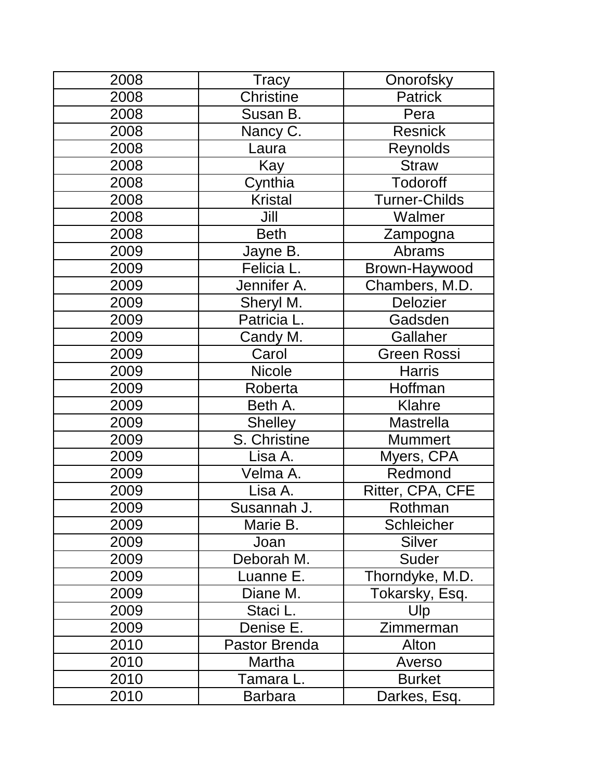| 2008 | <b>Tracy</b>   | Onorofsky            |
|------|----------------|----------------------|
| 2008 | Christine      | <b>Patrick</b>       |
| 2008 | Susan B.       | Pera                 |
| 2008 | Nancy C.       | <b>Resnick</b>       |
| 2008 | Laura          | <b>Reynolds</b>      |
| 2008 | Kay            | <b>Straw</b>         |
| 2008 | Cynthia        | <b>Todoroff</b>      |
| 2008 | <b>Kristal</b> | <b>Turner-Childs</b> |
| 2008 | Jill           | Walmer               |
| 2008 | <b>Beth</b>    | Zampogna             |
| 2009 | Jayne B.       | <b>Abrams</b>        |
| 2009 | Felicia L.     | Brown-Haywood        |
| 2009 | Jennifer A.    | Chambers, M.D.       |
| 2009 | Sheryl M.      | <b>Delozier</b>      |
| 2009 | Patricia L.    | Gadsden              |
| 2009 | Candy M.       | Gallaher             |
| 2009 | Carol          | <b>Green Rossi</b>   |
| 2009 | <b>Nicole</b>  | <b>Harris</b>        |
| 2009 | Roberta        | Hoffman              |
| 2009 | Beth A.        | Klahre               |
| 2009 | <b>Shelley</b> | <b>Mastrella</b>     |
| 2009 | S. Christine   | <b>Mummert</b>       |
| 2009 | Lisa A.        | Myers, CPA           |
| 2009 | Velma A.       | Redmond              |
| 2009 | Lisa A.        | Ritter, CPA, CFE     |
| 2009 | Susannah J.    | Rothman              |
| 2009 | Marie B.       | <b>Schleicher</b>    |
| 2009 | Joan           | <b>Silver</b>        |
| 2009 | Deborah M.     | Suder                |
| 2009 | Luanne E.      | Thorndyke, M.D.      |
| 2009 | Diane M.       | Tokarsky, Esq.       |
| 2009 | Staci L.       | Ulp                  |
| 2009 | Denise E.      | Zimmerman            |
| 2010 | Pastor Brenda  | Alton                |
| 2010 | Martha         | Averso               |
| 2010 | Tamara L.      | <b>Burket</b>        |
| 2010 | <b>Barbara</b> | Darkes, Esq.         |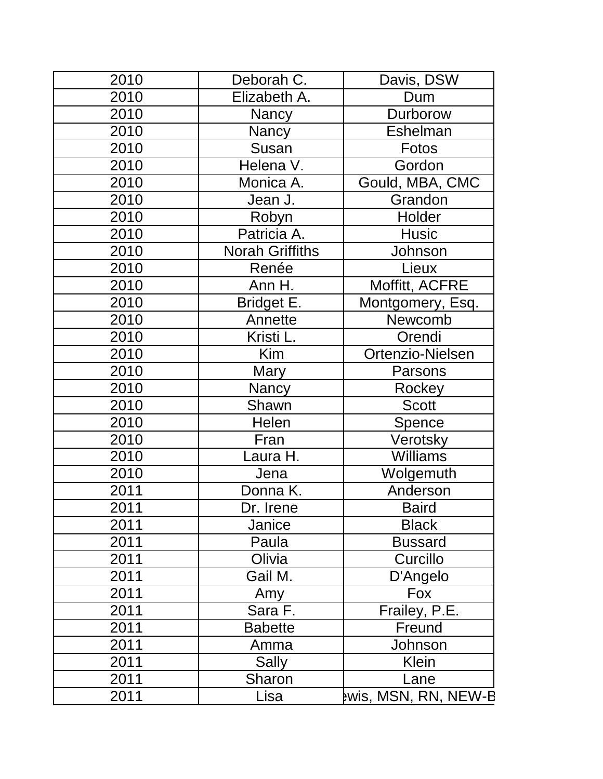| 2010 | Deborah C.             | Davis, DSW                  |
|------|------------------------|-----------------------------|
| 2010 | Elizabeth A.           | Dum                         |
| 2010 | Nancy                  | Durborow                    |
| 2010 | <b>Nancy</b>           | Eshelman                    |
| 2010 | Susan                  | Fotos                       |
| 2010 | Helena V.              | Gordon                      |
| 2010 | Monica A.              | Gould, MBA, CMC             |
| 2010 | Jean J.                | Grandon                     |
| 2010 | Robyn                  | Holder                      |
| 2010 | Patricia A.            | <b>Husic</b>                |
| 2010 | <b>Norah Griffiths</b> | Johnson                     |
| 2010 | Renée                  | Lieux                       |
| 2010 | Ann H.                 | Moffitt, ACFRE              |
| 2010 | Bridget E.             | Montgomery, Esq.            |
| 2010 | Annette                | Newcomb                     |
| 2010 | Kristi L.              | Orendi                      |
| 2010 | Kim                    | Ortenzio-Nielsen            |
| 2010 | Mary                   | Parsons                     |
| 2010 | Nancy                  | Rockey                      |
| 2010 | Shawn                  | <b>Scott</b>                |
| 2010 | Helen                  | Spence                      |
| 2010 | Fran                   | Verotsky                    |
| 2010 | Laura H.               | <b>Williams</b>             |
| 2010 | Jena                   | Wolgemuth                   |
| 2011 | Donna K.               | Anderson                    |
| 2011 | Dr. Irene              | Baird                       |
| 2011 | Janice                 | <b>Black</b>                |
| 2011 | Paula                  | <b>Bussard</b>              |
| 2011 | Olivia                 | Curcillo                    |
| 2011 | Gail M.                | D'Angelo                    |
| 2011 | Amy                    | Fox                         |
| 2011 | Sara F.                | Frailey, P.E.               |
| 2011 | <b>Babette</b>         | Freund                      |
| 2011 | Amma                   | Johnson                     |
| 2011 | Sally                  | Klein                       |
| 2011 | Sharon                 | Lane                        |
| 2011 | Lisa                   | <b>Pwis, MSN, RN, NEW-B</b> |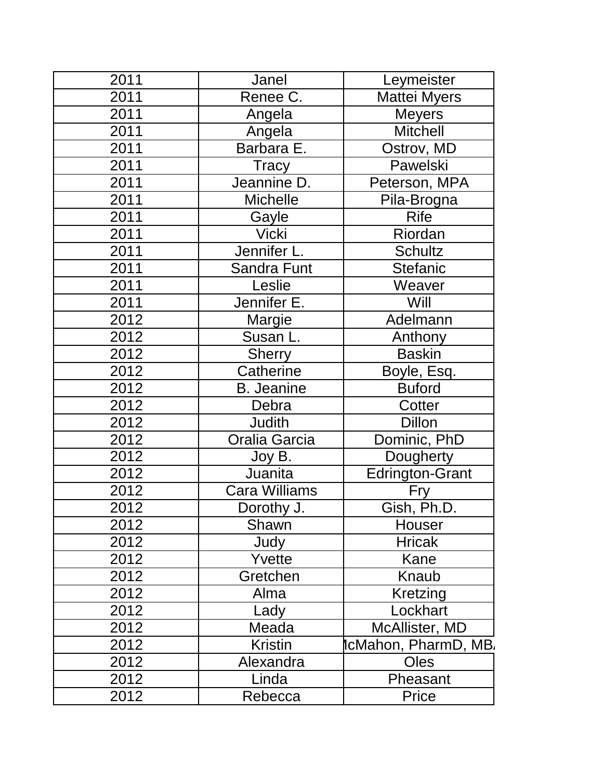| 2011 | Janel                | Leymeister             |
|------|----------------------|------------------------|
| 2011 | Renee C.             | <b>Mattei Myers</b>    |
| 2011 | Angela               | <b>Meyers</b>          |
| 2011 | Angela               | <b>Mitchell</b>        |
| 2011 | Barbara E.           | Ostrov, MD             |
| 2011 | Tracy                | Pawelski               |
| 2011 | Jeannine D.          | Peterson, MPA          |
| 2011 | <b>Michelle</b>      | Pila-Brogna            |
| 2011 | Gayle                | <b>Rife</b>            |
| 2011 | <b>Vicki</b>         | Riordan                |
| 2011 | Jennifer L.          | <b>Schultz</b>         |
| 2011 | Sandra Funt          | <b>Stefanic</b>        |
| 2011 | Leslie               | Weaver                 |
| 2011 | Jennifer E.          | Will                   |
| 2012 | Margie               | Adelmann               |
| 2012 | Susan L.             | Anthony                |
| 2012 | Sherry               | <b>Baskin</b>          |
| 2012 | Catherine            | Boyle, Esq.            |
| 2012 | <b>B.</b> Jeanine    | <b>Buford</b>          |
| 2012 | Debra                | Cotter                 |
| 2012 | <b>Judith</b>        | <b>Dillon</b>          |
| 2012 | Oralia Garcia        | Dominic, PhD           |
| 2012 | Joy B.               | Dougherty              |
| 2012 | Juanita              | <b>Edrington-Grant</b> |
| 2012 | <b>Cara Williams</b> | Fry                    |
| 2012 | Dorothy J.           | Gish, Ph.D.            |
| 2012 | Shawn                | Houser                 |
| 2012 | Judy                 | <b>Hricak</b>          |
| 2012 | Yvette               | Kane                   |
| 2012 | Gretchen             | Knaub                  |
| 2012 | Alma                 | Kretzing               |
| 2012 | Lady                 | Lockhart               |
| 2012 | Meada                | McAllister, MD         |
| 2012 | <b>Kristin</b>       | ∥cMahon, PharmD, MB.   |
| 2012 | Alexandra            | <b>Oles</b>            |
| 2012 | Linda                | Pheasant               |
| 2012 | Rebecca              | Price                  |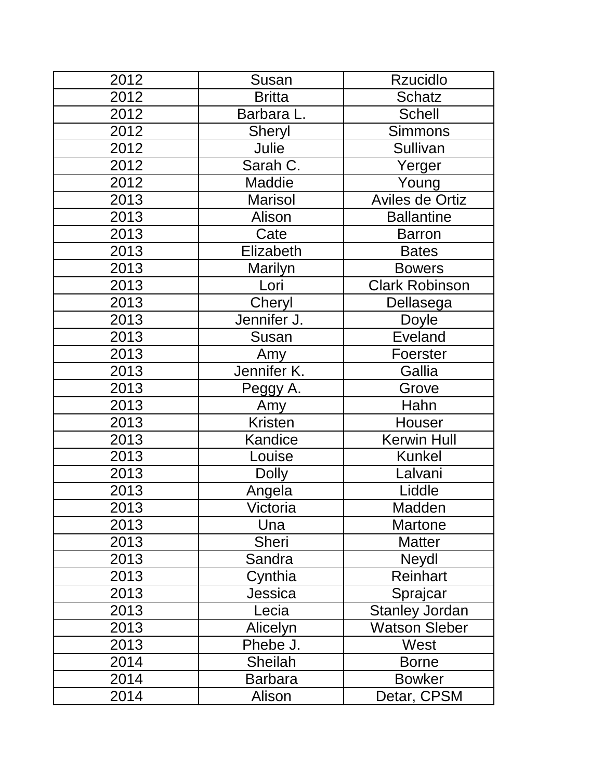| 2012 | Susan          | <b>Rzucidlo</b>       |  |
|------|----------------|-----------------------|--|
| 2012 | <b>Britta</b>  | <b>Schatz</b>         |  |
| 2012 | Barbara L.     | <b>Schell</b>         |  |
| 2012 | Sheryl         | <b>Simmons</b>        |  |
| 2012 | Julie          | Sullivan              |  |
| 2012 | Sarah C.       | Yerger                |  |
| 2012 | <b>Maddie</b>  | Young                 |  |
| 2013 | <b>Marisol</b> | Aviles de Ortiz       |  |
| 2013 | Alison         | <b>Ballantine</b>     |  |
| 2013 | Cate           | <b>Barron</b>         |  |
| 2013 | Elizabeth      | <b>Bates</b>          |  |
| 2013 | Marilyn        | <b>Bowers</b>         |  |
| 2013 | Lori           | <b>Clark Robinson</b> |  |
| 2013 | Cheryl         | Dellasega             |  |
| 2013 | Jennifer J.    | Doyle                 |  |
| 2013 | Susan          | <b>Eveland</b>        |  |
| 2013 | Amy            | Foerster              |  |
| 2013 | Jennifer K.    | Gallia                |  |
| 2013 | Peggy A.       | Grove                 |  |
| 2013 | Amy            | Hahn                  |  |
| 2013 | <b>Kristen</b> | Houser                |  |
| 2013 | Kandice        | Kerwin Hull           |  |
| 2013 | Louise         | <b>Kunkel</b>         |  |
| 2013 | <b>Dolly</b>   | Lalvani               |  |
| 2013 | Angela         | Liddle                |  |
| 2013 | Victoria       | Madden                |  |
| 2013 | Una            | <b>Martone</b>        |  |
| 2013 | <b>Sheri</b>   | <b>Matter</b>         |  |
| 2013 | Sandra         | Neydl                 |  |
| 2013 | Cynthia        | Reinhart              |  |
| 2013 | Jessica        | Sprajcar              |  |
| 2013 | Lecia          | <b>Stanley Jordan</b> |  |
| 2013 | Alicelyn       | <b>Watson Sleber</b>  |  |
| 2013 | Phebe J.       | West                  |  |
| 2014 | <b>Sheilah</b> | <b>Borne</b>          |  |
| 2014 | <b>Barbara</b> | <b>Bowker</b>         |  |
| 2014 | Alison         | Detar, CPSM           |  |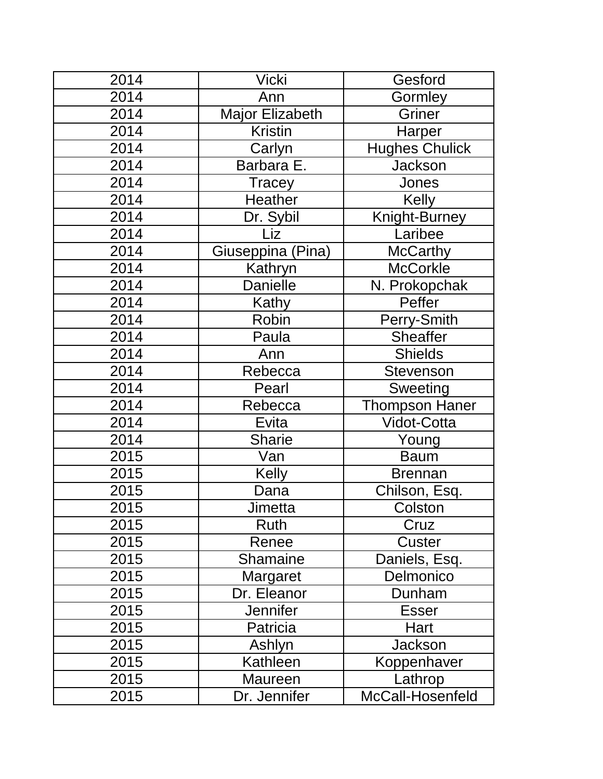| 2014 | <b>Vicki</b>           | Gesford               |
|------|------------------------|-----------------------|
| 2014 | Ann                    | Gormley               |
| 2014 | <b>Major Elizabeth</b> | Griner                |
| 2014 | <b>Kristin</b>         | Harper                |
| 2014 | Carlyn                 | <b>Hughes Chulick</b> |
| 2014 | Barbara E.             | <b>Jackson</b>        |
| 2014 | <b>Tracey</b>          | Jones                 |
| 2014 | Heather                | <b>Kelly</b>          |
| 2014 | Dr. Sybil              | Knight-Burney         |
| 2014 | Liz                    | Laribee               |
| 2014 | Giuseppina (Pina)      | <b>McCarthy</b>       |
| 2014 | Kathryn                | <b>McCorkle</b>       |
| 2014 | <b>Danielle</b>        | N. Prokopchak         |
| 2014 | Kathy                  | Peffer                |
| 2014 | Robin                  | Perry-Smith           |
| 2014 | Paula                  | <b>Sheaffer</b>       |
| 2014 | Ann                    | <b>Shields</b>        |
| 2014 | Rebecca                | <b>Stevenson</b>      |
| 2014 | Pearl                  | Sweeting              |
| 2014 | Rebecca                | <b>Thompson Haner</b> |
| 2014 | Evita                  | <b>Vidot-Cotta</b>    |
| 2014 | <b>Sharie</b>          | Young                 |
| 2015 | Van                    | <b>Baum</b>           |
| 2015 | <b>Kelly</b>           | <b>Brennan</b>        |
| 2015 | Dana                   | Chilson, Esq.         |
| 2015 | Jimetta                | Colston               |
| 2015 | Ruth                   | Cruz                  |
| 2015 | Renee                  | Custer                |
| 2015 | <b>Shamaine</b>        | Daniels, Esq.         |
| 2015 | Margaret               | Delmonico             |
| 2015 | Dr. Eleanor            | Dunham                |
| 2015 | <b>Jennifer</b>        | <b>Esser</b>          |
| 2015 | Patricia               | Hart                  |
| 2015 | Ashlyn                 | <b>Jackson</b>        |
| 2015 | Kathleen               | Koppenhaver           |
| 2015 | Maureen                | Lathrop               |
| 2015 | Dr. Jennifer           | McCall-Hosenfeld      |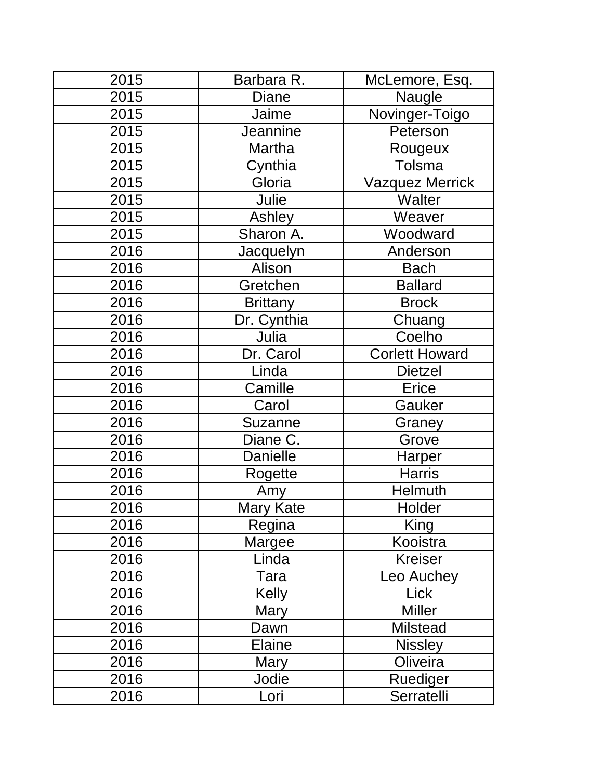| 2015 | Barbara R.      | McLemore, Esq.         |
|------|-----------------|------------------------|
| 2015 | <b>Diane</b>    | Naugle                 |
| 2015 | Jaime           | Novinger-Toigo         |
| 2015 | Jeannine        | Peterson               |
| 2015 | Martha          | Rougeux                |
| 2015 | Cynthia         | Tolsma                 |
| 2015 | Gloria          | <b>Vazquez Merrick</b> |
| 2015 | Julie           | Walter                 |
| 2015 | Ashley          | Weaver                 |
| 2015 | Sharon A.       | Woodward               |
| 2016 | Jacquelyn       | Anderson               |
| 2016 | Alison          | <b>Bach</b>            |
| 2016 | Gretchen        | <b>Ballard</b>         |
| 2016 | <b>Brittany</b> | <b>Brock</b>           |
| 2016 | Dr. Cynthia     | Chuang                 |
| 2016 | Julia           | Coelho                 |
| 2016 | Dr. Carol       | <b>Corlett Howard</b>  |
| 2016 | Linda           | <b>Dietzel</b>         |
| 2016 | Camille         | Erice                  |
| 2016 | Carol           | Gauker                 |
| 2016 | Suzanne         | Graney                 |
| 2016 | Diane C.        | Grove                  |
| 2016 | <b>Danielle</b> | Harper                 |
| 2016 | Rogette         | <b>Harris</b>          |
| 2016 | Amy             | <b>Helmuth</b>         |
| 2016 | Mary Kate       | Holder                 |
| 2016 | Regina          | King                   |
| 2016 | Margee          | Kooistra               |
| 2016 | Linda           | <b>Kreiser</b>         |
| 2016 | Tara            | Leo Auchey             |
| 2016 | Kelly           | Lick                   |
| 2016 | <b>Mary</b>     | <b>Miller</b>          |
| 2016 | Dawn            | <b>Milstead</b>        |
| 2016 | <b>Elaine</b>   | <b>Nissley</b>         |
| 2016 | Mary            | Oliveira               |
| 2016 | Jodie           | Ruediger               |
| 2016 | Lori            | Serratelli             |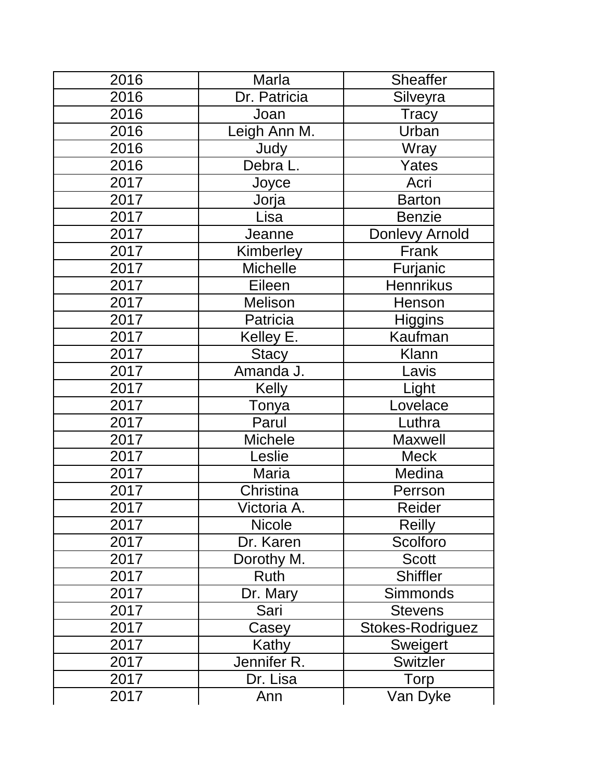| 2016 | Marla           | <b>Sheaffer</b>       |
|------|-----------------|-----------------------|
| 2016 | Dr. Patricia    | Silveyra              |
| 2016 | Joan            | Tracy                 |
| 2016 | eigh Ann M.     | Urban                 |
| 2016 | Judy            | Wray                  |
| 2016 | Debra L.        | Yates                 |
| 2017 | Joyce           | Acri                  |
| 2017 | Jorja           | <b>Barton</b>         |
| 2017 | Lisa            | <b>Benzie</b>         |
| 2017 | Jeanne          | <b>Donlevy Arnold</b> |
| 2017 | Kimberley       | Frank                 |
| 2017 | <b>Michelle</b> | Furjanic              |
| 2017 | Eileen          | <b>Hennrikus</b>      |
| 2017 | Melison         | Henson                |
| 2017 | Patricia        | <b>Higgins</b>        |
| 2017 | Kelley E.       | Kaufman               |
| 2017 | <b>Stacy</b>    | <b>Klann</b>          |
| 2017 | Amanda J.       | Lavis                 |
| 2017 | <b>Kelly</b>    | Light                 |
| 2017 | Tonya           | Lovelace              |
| 2017 | Parul           | Luthra                |
| 2017 | <b>Michele</b>  | <b>Maxwell</b>        |
| 2017 | Leslie          | <b>Meck</b>           |
| 2017 | Maria           | Medina                |
| 2017 | Christina       | Perrson               |
| 2017 | Victoria A.     | Reider                |
| 2017 | <b>Nicole</b>   | <b>Reilly</b>         |
| 2017 | Dr. Karen       | Scolforo              |
| 2017 | Dorothy M.      | <b>Scott</b>          |
| 2017 | Ruth            | <b>Shiffler</b>       |
| 2017 | Dr. Mary        | Simmonds              |
| 2017 | Sari            | <b>Stevens</b>        |
| 2017 | Casey           | Stokes-Rodriguez      |
| 2017 | Kathy           | Sweigert              |
| 2017 | Jennifer R.     | <b>Switzler</b>       |
| 2017 | Dr. Lisa        | <b>Torp</b>           |
| 2017 | Ann             | Van Dyke              |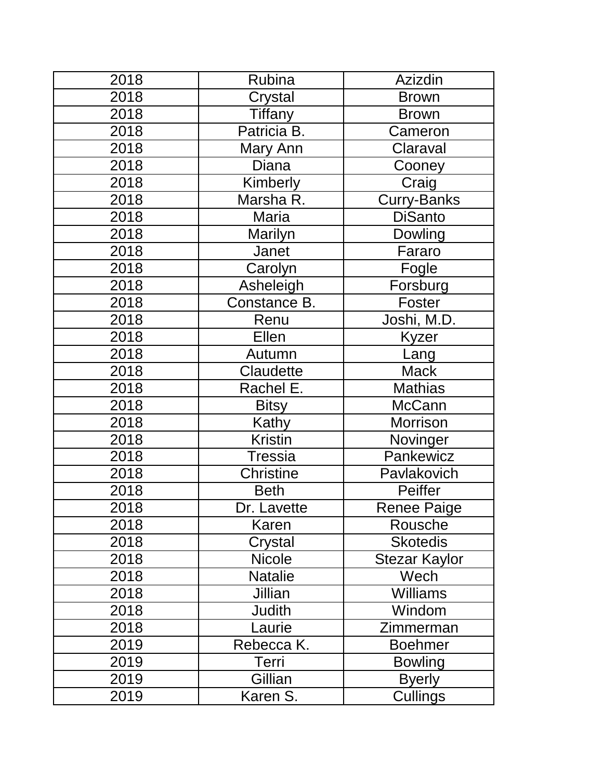| 2018 | Rubina         | Azizdin              |
|------|----------------|----------------------|
| 2018 | Crystal        | <b>Brown</b>         |
| 2018 | <b>Tiffany</b> | <b>Brown</b>         |
| 2018 | Patricia B.    | Cameron              |
| 2018 | Mary Ann       | Claraval             |
| 2018 | <b>Diana</b>   | Cooney               |
| 2018 | Kimberly       | Craig                |
| 2018 | Marsha R.      | Curry-Banks          |
| 2018 | Maria          | <b>DiSanto</b>       |
| 2018 | Marilyn        | Dowling              |
| 2018 | Janet          | Fararo               |
| 2018 | Carolyn        | Fogle                |
| 2018 | Asheleigh      | Forsburg             |
| 2018 | Constance B.   | Foster               |
| 2018 | Renu           | Joshi, M.D.          |
| 2018 | Ellen          | Kyzer                |
| 2018 | Autumn         | Lang                 |
| 2018 | Claudette      | <b>Mack</b>          |
| 2018 | Rachel E.      | <b>Mathias</b>       |
| 2018 | <b>Bitsy</b>   | <b>McCann</b>        |
| 2018 | Kathy          | <b>Morrison</b>      |
| 2018 | <b>Kristin</b> | Novinger             |
| 2018 | Tressia        | Pankewicz            |
| 2018 | Christine      | Pavlakovich          |
| 2018 | <b>Beth</b>    | Peiffer              |
| 2018 | Dr. Lavette    | <b>Renee Paige</b>   |
| 2018 | Karen          | Rousche              |
| 2018 | Crystal        | <b>Skotedis</b>      |
| 2018 | <b>Nicole</b>  | <b>Stezar Kaylor</b> |
| 2018 | <b>Natalie</b> | Wech                 |
| 2018 | Jillian        | <b>Williams</b>      |
| 2018 | <b>Judith</b>  | Windom               |
| 2018 | Laurie         | Zimmerman            |
| 2019 | Rebecca K.     | Boehmer              |
| 2019 | Terri          | <b>Bowling</b>       |
| 2019 | Gillian        | <b>Byerly</b>        |
| 2019 | Karen S.       | Cullings             |